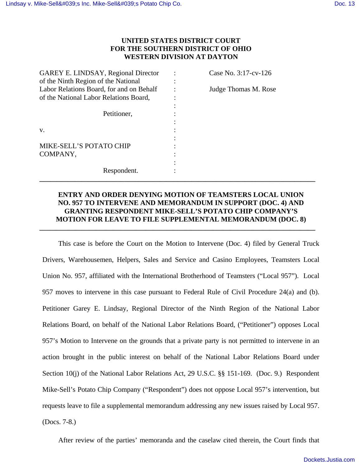## **UNITED STATES DISTRICT COURT FOR THE SOUTHERN DISTRICT OF OHIO WESTERN DIVISION AT DAYTON**

| GAREY E. LINDSAY, Regional Director      | Case No. 3:17-cv-126 |
|------------------------------------------|----------------------|
| of the Ninth Region of the National      |                      |
| Labor Relations Board, for and on Behalf | Judge Thomas M. Rose |
| of the National Labor Relations Board,   |                      |
|                                          |                      |
| Petitioner,                              |                      |
|                                          |                      |
| V.                                       |                      |
|                                          |                      |
| MIKE-SELL'S POTATO CHIP                  |                      |
| COMPANY,                                 |                      |
|                                          |                      |
| Respondent.                              |                      |
|                                          |                      |

## **ENTRY AND ORDER DENYING MOTION OF TEAMSTERS LOCAL UNION NO. 957 TO INTERVENE AND MEMORANDUM IN SUPPORT (DOC. 4) AND GRANTING RESPONDENT MIKE-SELL'S POTATO CHIP COMPANY'S MOTION FOR LEAVE TO FILE SUPPLEMENTAL MEMORANDUM (DOC. 8)**

**\_\_\_\_\_\_\_\_\_\_\_\_\_\_\_\_\_\_\_\_\_\_\_\_\_\_\_\_\_\_\_\_\_\_\_\_\_\_\_\_\_\_\_\_\_\_\_\_\_\_\_\_\_\_\_\_\_\_\_\_\_\_\_\_\_\_\_\_\_\_\_\_\_\_\_\_\_\_** 

This case is before the Court on the Motion to Intervene (Doc. 4) filed by General Truck Drivers, Warehousemen, Helpers, Sales and Service and Casino Employees, Teamsters Local Union No. 957, affiliated with the International Brotherhood of Teamsters ("Local 957"). Local 957 moves to intervene in this case pursuant to Federal Rule of Civil Procedure 24(a) and (b). Petitioner Garey E. Lindsay, Regional Director of the Ninth Region of the National Labor Relations Board, on behalf of the National Labor Relations Board, ("Petitioner") opposes Local 957's Motion to Intervene on the grounds that a private party is not permitted to intervene in an action brought in the public interest on behalf of the National Labor Relations Board under Section 10(j) of the National Labor Relations Act, 29 U.S.C. §§ 151-169. (Doc. 9.) Respondent Mike-Sell's Potato Chip Company ("Respondent") does not oppose Local 957's intervention, but requests leave to file a supplemental memorandum addressing any new issues raised by Local 957. (Docs. 7-8.)

After review of the parties' memoranda and the caselaw cited therein, the Court finds that